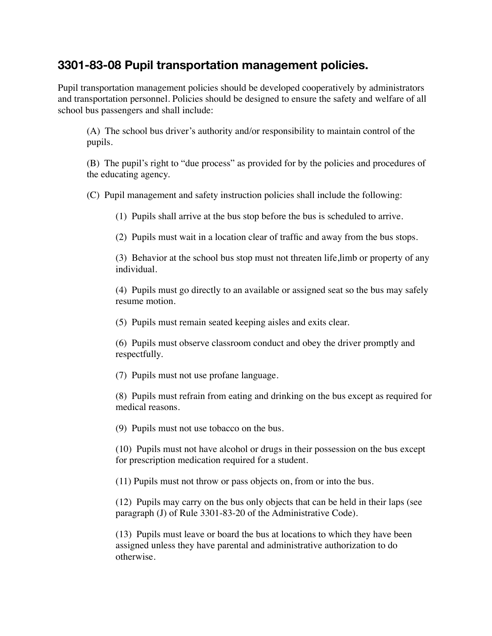## **3301-83-08 Pupil transportation management policies.**

Pupil transportation management policies should be developed cooperatively by administrators and transportation personnel. Policies should be designed to ensure the safety and welfare of all school bus passengers and shall include:

 (A) The school bus driver's authority and/or responsibility to maintain control of the pupils.

 (B) The pupil's right to "due process" as provided for by the policies and procedures of the educating agency.

 (C) Pupil management and safety instruction policies shall include the following:

 (1) Pupils shall arrive at the bus stop before the bus is scheduled to arrive.

 (2) Pupils must wait in a location clear of traffic and away from the bus stops.

 (3) Behavior at the school bus stop must not threaten life,limb or property of any individual.

 (4) Pupils must go directly to an available or assigned seat so the bus may safely resume motion.

 (5) Pupils must remain seated keeping aisles and exits clear.

 (6) Pupils must observe classroom conduct and obey the driver promptly and respectfully.

 (7) Pupils must not use profane language.

 (8) Pupils must refrain from eating and drinking on the bus except as required for medical reasons.

 (9) Pupils must not use tobacco on the bus.

 (10) Pupils must not have alcohol or drugs in their possession on the bus except for prescription medication required for a student.

 (11) Pupils must not throw or pass objects on, from or into the bus.

 (12) Pupils may carry on the bus only objects that can be held in their laps (see paragraph (J) of Rule 3301-83-20 of the Administrative Code).

 (13) Pupils must leave or board the bus at locations to which they have been assigned unless they have parental and administrative authorization to do otherwise.